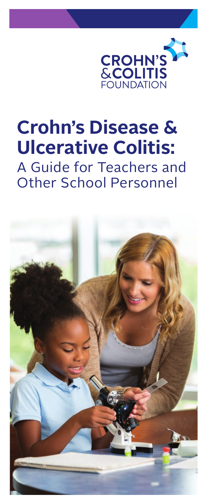

# **Crohn's Disease & Ulcerative Colitis:** A Guide for Teachers and Other School Personnel

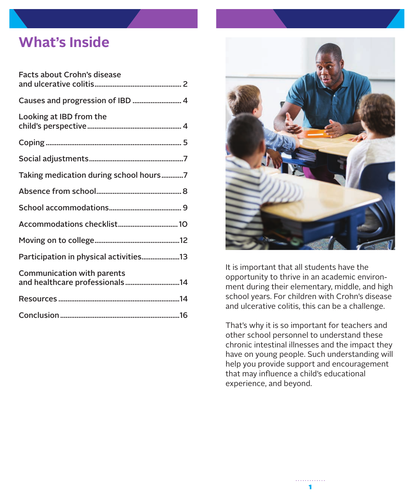## **What's Inside**

| Facts about Crohn's disease                                         |
|---------------------------------------------------------------------|
|                                                                     |
| Looking at IBD from the                                             |
|                                                                     |
|                                                                     |
| Taking medication during school hours7                              |
|                                                                     |
|                                                                     |
|                                                                     |
|                                                                     |
| Participation in physical activities13                              |
| <b>Communication with parents</b><br>and healthcare professionals14 |
|                                                                     |
|                                                                     |



It is important that all students have the opportunity to thrive in an academic environment during their elementary, middle, and high school years. For children with Crohn's disease and ulcerative colitis, this can be a challenge.

That's why it is so important for teachers and other school personnel to understand these chronic intestinal illnesses and the impact they have on young people. Such understanding will help you provide support and encouragement that may influence a child's educational experience, and beyond.

. . . . . .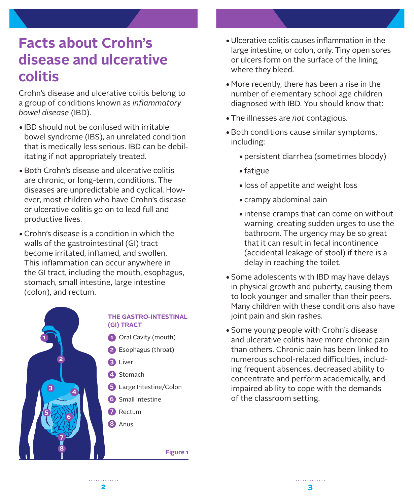## <span id="page-2-0"></span>**Facts about Crohn's disease and ulcerative colitis**

Crohn's disease and ulcerative colitis belong to a group of conditions known as *inflammatory bowel disease* (IBD).

- •IBD should not be confused with irritable bowel syndrome (IBS), an unrelated condition that is medically less serious. IBD can be debilitating if not appropriately treated.
- •Both Crohn's disease and ulcerative colitis are chronic, or long-term, conditions. The diseases are unpredictable and cyclical. However, most children who have Crohn's disease or ulcerative colitis go on to lead full and productive lives.
- •Crohn's disease is a condition in which the walls of the gastrointestinal (GI) tract become irritated, inflamed, and swollen. This inflammation can occur anywhere in the GI tract, including the mouth, esophagus, stomach, small intestine, large intestine (colon), and rectum.



#### **THE GASTRO-INTESTINAL (GI) TRACT**

- Oral Cavity (mouth) **1**
- Esophagus (throat) **2**
- Liver **3**
- 4 Stomach
- Large Intestine/Colon **5**
- **6** Small Intestine
- Rectum **7**
- Anus **8**

**Figure 1**

- •Ulcerative colitis causes inflammation in the large intestine, or colon, only. Tiny open sores or ulcers form on the surface of the lining, where they bleed.
- •More recently, there has been a rise in the number of elementary school age children diagnosed with IBD. You should know that:
- •The illnesses are *not* contagious.
- •Both conditions cause similar symptoms, including:
	- •persistent diarrhea (sometimes bloody)
	- •fatigue
	- •loss of appetite and weight loss
	- •crampy abdominal pain
	- •intense cramps that can come on without warning, creating sudden urges to use the bathroom. The urgency may be so great that it can result in fecal incontinence (accidental leakage of stool) if there is a delay in reaching the toilet.
- •Some adolescents with IBD may have delays in physical growth and puberty, causing them to look younger and smaller than their peers. Many children with these conditions also have joint pain and skin rashes.
- •Some young people with Crohn's disease and ulcerative colitis have more chronic pain than others. Chronic pain has been linked to numerous school-related difficulties, including frequent absences, decreased ability to concentrate and perform academically, and impaired ability to cope with the demands of the classroom setting.

 $2 \overline{3}$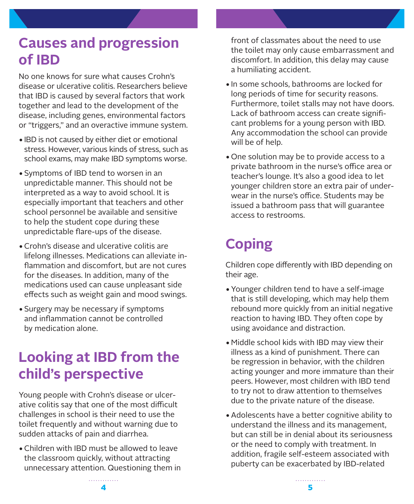## <span id="page-3-0"></span>**Causes and progression of IBD**

No one knows for sure what causes Crohn's disease or ulcerative colitis. Researchers believe that IBD is caused by several factors that work together and lead to the development of the disease, including genes, environmental factors or "triggers," and an overactive immune system.

- •IBD is not caused by either diet or emotional stress. However, various kinds of stress, such as school exams, may make IBD symptoms worse.
- •Symptoms of IBD tend to worsen in an unpredictable manner. This should not be interpreted as a way to avoid school. It is especially important that teachers and other school personnel be available and sensitive to help the student cope during these unpredictable flare-ups of the disease.
- •Crohn's disease and ulcerative colitis are lifelong illnesses. Medications can alleviate inflammation and discomfort, but are not cures for the diseases. In addition, many of the medications used can cause unpleasant side effects such as weight gain and mood swings.
- •Surgery may be necessary if symptoms and inflammation cannot be controlled by medication alone.

## **Looking at IBD from the child's perspective**

Young people with Crohn's disease or ulcerative colitis say that one of the most difficult challenges in school is their need to use the toilet frequently and without warning due to sudden attacks of pain and diarrhea.

•Children with IBD must be allowed to leave the classroom quickly, without attracting unnecessary attention. Questioning them in front of classmates about the need to use the toilet may only cause embarrassment and discomfort. In addition, this delay may cause a humiliating accident.

- •In some schools, bathrooms are locked for long periods of time for security reasons. Furthermore, toilet stalls may not have doors. Lack of bathroom access can create significant problems for a young person with IBD. Any accommodation the school can provide will be of help.
- One solution may be to provide access to a private bathroom in the nurse's office area or teacher's lounge. It's also a good idea to let younger children store an extra pair of underwear in the nurse's office. Students may be issued a bathroom pass that will guarantee access to restrooms.

# **Coping**

Children cope differently with IBD depending on their age.

- •Younger children tend to have a self-image that is still developing, which may help them rebound more quickly from an initial negative reaction to having IBD. They often cope by using avoidance and distraction.
- •Middle school kids with IBD may view their illness as a kind of punishment. There can be regression in behavior, with the children acting younger and more immature than their peers. However, most children with IBD tend to try not to draw attention to themselves due to the private nature of the disease.
- •Adolescents have a better cognitive ability to understand the illness and its management, but can still be in denial about its seriousness or the need to comply with treatment. In addition, fragile self-esteem associated with puberty can be exacerbated by IBD-related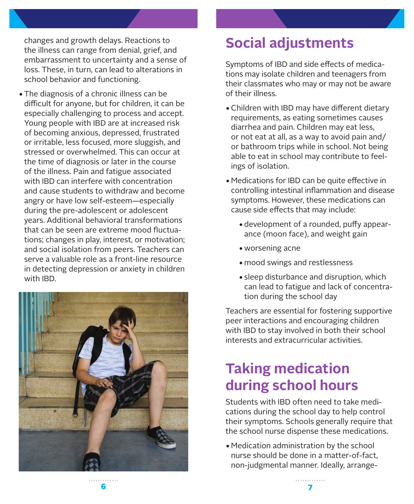<span id="page-4-0"></span>changes and growth delays. Reactions to the illness can range from denial, grief, and embarrassment to uncertainty and a sense of loss. These, in turn, can lead to alterations in school behavior and functioning.

•The diagnosis of a chronic illness can be difficult for anyone, but for children, it can be especially challenging to process and accept. Young people with IBD are at increased risk of becoming anxious, depressed, frustrated or irritable, less focused, more sluggish, and stressed or overwhelmed. This can occur at the time of diagnosis or later in the course of the illness. Pain and fatigue associated with IBD can interfere with concentration and cause students to withdraw and become angry or have low self-esteem—especially during the pre-adolescent or adolescent years. Additional behavioral transformations that can be seen are extreme mood fluctuations; changes in play, interest, or motivation; and social isolation from peers. Teachers can serve a valuable role as a front-line resource in detecting depression or anxiety in children with IBD.



## **Social adjustments**

Symptoms of IBD and side effects of medications may isolate children and teenagers from their classmates who may or may not be aware of their illness.

- •Children with IBD may have different dietary requirements, as eating sometimes causes diarrhea and pain. Children may eat less, or not eat at all, as a way to avoid pain and/ or bathroom trips while in school. Not being able to eat in school may contribute to feelings of isolation.
- •Medications for IBD can be quite effective in controlling intestinal inflammation and disease symptoms. However, these medications can cause side effects that may include:
	- •development of a rounded, puffy appearance (moon face), and weight gain
	- worsening acne
	- •mood swings and restlessness
	- •sleep disturbance and disruption, which can lead to fatigue and lack of concentration during the school day

Teachers are essential for fostering supportive peer interactions and encouraging children with IBD to stay involved in both their school interests and extracurricular activities.

# **Taking medication during school hours**

Students with IBD often need to take medications during the school day to help control their symptoms. Schools generally require that the school nurse dispense these medications.

•Medication administration by the school nurse should be done in a matter-of-fact, non-judgmental manner. Ideally, arrange-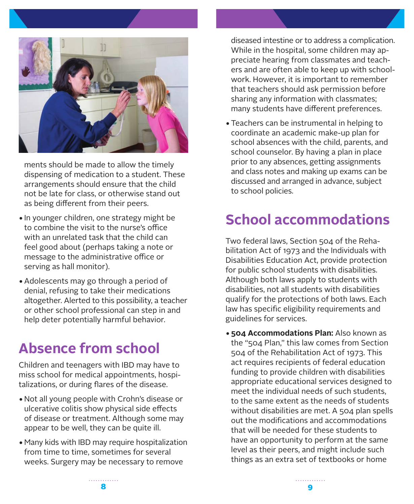<span id="page-5-0"></span>

ments should be made to allow the timely dispensing of medication to a student. These arrangements should ensure that the child not be late for class, or otherwise stand out as being different from their peers.

- •In younger children, one strategy might be to combine the visit to the nurse's office with an unrelated task that the child can feel good about (perhaps taking a note or message to the administrative office or serving as hall monitor).
- •Adolescents may go through a period of denial, refusing to take their medications altogether. Alerted to this possibility, a teacher or other school professional can step in and help deter potentially harmful behavior.

## **Absence from school**

Children and teenagers with IBD may have to miss school for medical appointments, hospitalizations, or during flares of the disease.

- •Not all young people with Crohn's disease or ulcerative colitis show physical side effects of disease or treatment. Although some may appear to be well, they can be quite ill.
- •Many kids with IBD may require hospitalization from time to time, sometimes for several weeks. Surgery may be necessary to remove

diseased intestine or to address a complication. While in the hospital, some children may appreciate hearing from classmates and teachers and are often able to keep up with schoolwork. However, it is important to remember that teachers should ask permission before sharing any information with classmates; many students have different preferences.

•Teachers can be instrumental in helping to coordinate an academic make-up plan for school absences with the child, parents, and school counselor. By having a plan in place prior to any absences, getting assignments and class notes and making up exams can be discussed and arranged in advance, subject to school policies.

# **School accommodations**

Two federal laws, Section 504 of the Rehabilitation Act of 1973 and the Individuals with Disabilities Education Act, provide protection for public school students with disabilities. Although both laws apply to students with disabilities, not all students with disabilities qualify for the protections of both laws. Each law has specific eligibility requirements and guidelines for services.

•**504 Accommodations Plan:** Also known as the "504 Plan," this law comes from Section 504 of the Rehabilitation Act of 1973. This act requires recipients of federal education funding to provide children with disabilities appropriate educational services designed to meet the individual needs of such students, to the same extent as the needs of students without disabilities are met. A 504 plan spells out the modifications and accommodations that will be needed for these students to have an opportunity to perform at the same level as their peers, and might include such things as an extra set of textbooks or home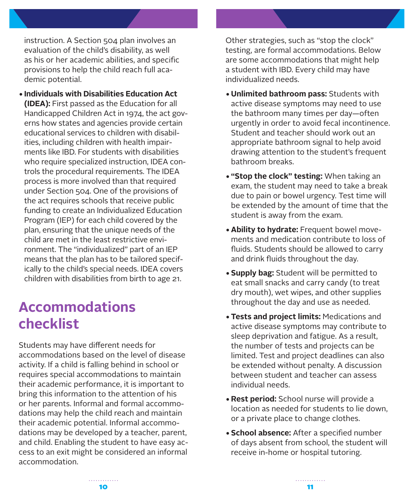<span id="page-6-0"></span>instruction. A Section 504 plan involves an evaluation of the child's disability, as well as his or her academic abilities, and specific provisions to help the child reach full academic potential.

•**Individuals with Disabilities Education Act (IDEA):** First passed as the Education for all Handicapped Children Act in 1974, the act governs how states and agencies provide certain educational services to children with disabilities, including children with health impairments like IBD. For students with disabilities who require specialized instruction, IDEA controls the procedural requirements. The IDEA process is more involved than that required under Section 504. One of the provisions of the act requires schools that receive public funding to create an Individualized Education Program (IEP) for each child covered by the plan, ensuring that the unique needs of the child are met in the least restrictive environment. The "individualized" part of an IEP means that the plan has to be tailored specifically to the child's special needs. IDEA covers children with disabilities from birth to age 21.

## **Accommodations checklist**

Students may have different needs for accommodations based on the level of disease activity. If a child is falling behind in school or requires special accommodations to maintain their academic performance, it is important to bring this information to the attention of his or her parents. Informal and formal accommodations may help the child reach and maintain their academic potential. Informal accommodations may be developed by a teacher, parent, and child. Enabling the student to have easy access to an exit might be considered an informal accommodation.

Other strategies, such as "stop the clock" testing, are formal accommodations. Below are some accommodations that might help a student with IBD. Every child may have individualized needs.

- •**Unlimited bathroom pass:** Students with active disease symptoms may need to use the bathroom many times per day—often urgently in order to avoid fecal incontinence. Student and teacher should work out an appropriate bathroom signal to help avoid drawing attention to the student's frequent bathroom breaks.
- •**"Stop the clock" testing:** When taking an exam, the student may need to take a break due to pain or bowel urgency. Test time will be extended by the amount of time that the student is away from the exam.
- •**Ability to hydrate:** Frequent bowel movements and medication contribute to loss of fluids. Students should be allowed to carry and drink fluids throughout the day.
- •**Supply bag:** Student will be permitted to eat small snacks and carry candy (to treat dry mouth), wet wipes, and other supplies throughout the day and use as needed.
- •**Tests and project limits:** Medications and active disease symptoms may contribute to sleep deprivation and fatigue. As a result, the number of tests and projects can be limited. Test and project deadlines can also be extended without penalty. A discussion between student and teacher can assess individual needs.
- •**Rest period:** School nurse will provide a location as needed for students to lie down, or a private place to change clothes.
- •**School absence:** After a specified number of days absent from school, the student will receive in-home or hospital tutoring.

. . . . . . . . . . . . .  $10$  11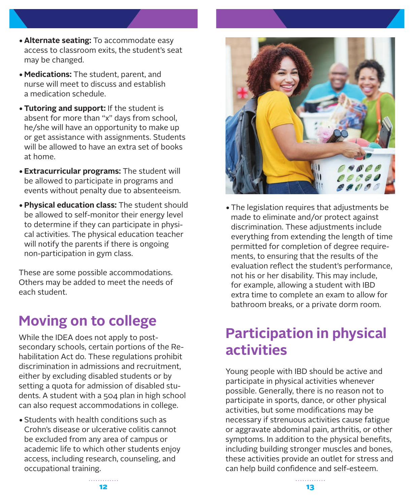- <span id="page-7-0"></span>•**Alternate seating:** To accommodate easy access to classroom exits, the student's seat may be changed.
- •**Medications:** The student, parent, and nurse will meet to discuss and establish a medication schedule.
- •**Tutoring and support:** If the student is absent for more than "x" days from school, he/she will have an opportunity to make up or get assistance with assignments. Students will be allowed to have an extra set of books at home.
- •**Extracurricular programs:** The student will be allowed to participate in programs and events without penalty due to absenteeism.
- •**Physical education class:** The student should be allowed to self-monitor their energy level to determine if they can participate in physical activities. The physical education teacher will notify the parents if there is ongoing non-participation in gym class.

These are some possible accommodations. Others may be added to meet the needs of each student.

## **Moving on to college**

While the IDEA does not apply to postsecondary schools, certain portions of the Rehabilitation Act do. These regulations prohibit discrimination in admissions and recruitment, either by excluding disabled students or by setting a quota for admission of disabled students. A student with a 504 plan in high school can also request accommodations in college.

•Students with health conditions such as Crohn's disease or ulcerative colitis cannot be excluded from any area of campus or academic life to which other students enjoy access, including research, counseling, and occupational training.



•The legislation requires that adjustments be made to eliminate and/or protect against discrimination. These adjustments include everything from extending the length of time permitted for completion of degree requirements, to ensuring that the results of the evaluation reflect the student's performance, not his or her disability. This may include, for example, allowing a student with IBD extra time to complete an exam to allow for bathroom breaks, or a private dorm room.

## **Participation in physical activities**

Young people with IBD should be active and participate in physical activities whenever possible. Generally, there is no reason not to participate in sports, dance, or other physical activities, but some modifications may be necessary if strenuous activities cause fatigue or aggravate abdominal pain, arthritis, or other symptoms. In addition to the physical benefits, including building stronger muscles and bones, these activities provide an outlet for stress and can help build confidence and self-esteem.

 $12$  and  $13$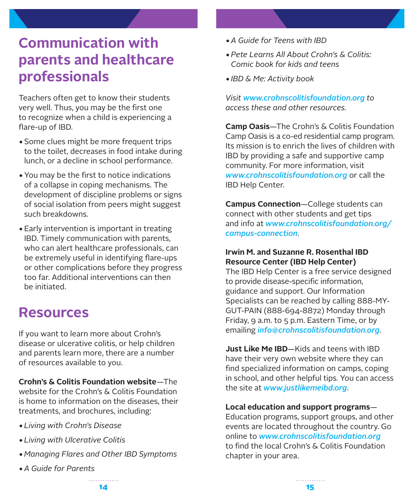## <span id="page-8-0"></span>**Communication with parents and healthcare professionals**

Teachers often get to know their students very well. Thus, you may be the first one to recognize when a child is experiencing a flare-up of IBD.

- •Some clues might be more frequent trips to the toilet, decreases in food intake during lunch, or a decline in school performance.
- •You may be the first to notice indications of a collapse in coping mechanisms. The development of discipline problems or signs of social isolation from peers might suggest such breakdowns.
- •Early intervention is important in treating IBD. Timely communication with parents, who can alert healthcare professionals, can be extremely useful in identifying flare-ups or other complications before they progress too far. Additional interventions can then be initiated.

## **Resources**

If you want to learn more about Crohn's disease or ulcerative colitis, or help children and parents learn more, there are a number of resources available to you.

**Crohn's & Colitis Foundation website**—The website for the Crohn's & Colitis Foundation is home to information on the diseases, their treatments, and brochures, including:

- •*Living with Crohn's Disease*
- •*Living with Ulcerative Colitis*
- •*Managing Flares and Other IBD Symptoms*
- •*A Guide for Parents*
- •*A Guide for Teens with IBD*
- •*Pete Learns All About Crohn's & Colitis: Comic book for kids and teens*
- •*IBD & Me: Activity book*

*Visit [www.crohnscolitisfoundation.org](http://www.crohnscolitisfoundation.org) to access these and other resources.*

**Camp Oasis**—The Crohn's & Colitis Foundation Camp Oasis is a co-ed residential camp program. Its mission is to enrich the lives of children with IBD by providing a safe and supportive camp community. For more information, visit *[www.crohnscolitisfoundation.org](http://www.crohnscolitisfoundation.org)* or call the IBD Help Center.

**Campus Connection**—College students can connect with other students and get tips and info at *[www.crohnscolitisfoundation.org/](http://www.crohnscolitisfoundation.org/campus-connection) [campus-connection](http://www.crohnscolitisfoundation.org/campus-connection)*.

#### **Irwin M. and Suzanne R. Rosenthal IBD Resource Center (IBD Help Center)**

The IBD Help Center is a free service designed to provide disease-specific information, guidance and support. Our Information Specialists can be reached by calling 888-MY-GUT-PAIN (888-694-8872) Monday through Friday, 9 a.m. to 5 p.m. Eastern Time, or by emailing *[info@crohnscolitisfoundation.org](mailto:info%40crohnscolitisfoundation.org?subject=)*.

**Just Like Me IBD**—Kids and teens with IBD have their very own website where they can find specialized information on camps, coping in school, and other helpful tips. You can access the site at *[www.justlikemeibd.org](http://www.justlikemeibd.org)*.

**Local education and support programs**— Education programs, support groups, and other events are located throughout the country. Go online to *[www.crohnscolitisfoundation.org](http://www.crohnscolitisfoundation.org)* to find the local Crohn's & Colitis Foundation chapter in your area.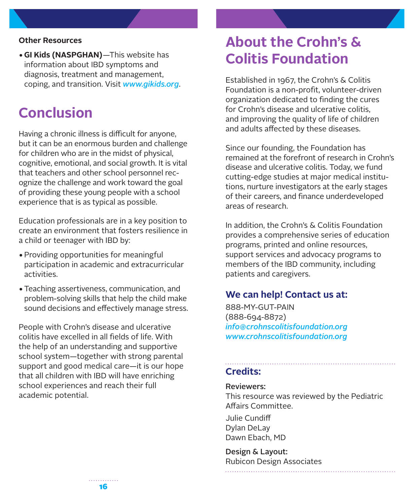#### <span id="page-9-0"></span>**Other Resources**

•**GI Kids (NASPGHAN)**—This website has information about IBD symptoms and diagnosis, treatment and management, coping, and transition. Visit *[www.gikids.org](http://www.gikids.org)*.

### **Conclusion**

Having a chronic illness is difficult for anyone, but it can be an enormous burden and challenge for children who are in the midst of physical, cognitive, emotional, and social growth. It is vital that teachers and other school personnel recognize the challenge and work toward the goal of providing these young people with a school experience that is as typical as possible.

Education professionals are in a key position to create an environment that fosters resilience in a child or teenager with IBD by:

- •Providing opportunities for meaningful participation in academic and extracurricular activities.
- •Teaching assertiveness, communication, and problem-solving skills that help the child make sound decisions and effectively manage stress.

People with Crohn's disease and ulcerative colitis have excelled in all fields of life. With the help of an understanding and supportive school system—together with strong parental support and good medical care—it is our hope that all children with IBD will have enriching school experiences and reach their full academic potential.

### **About the Crohn's & Colitis Foundation**

Established in 1967, the Crohn's & Colitis Foundation is a non-profit, volunteer-driven organization dedicated to finding the cures for Crohn's disease and ulcerative colitis, and improving the quality of life of children and adults affected by these diseases.

Since our founding, the Foundation has remained at the forefront of research in Crohn's disease and ulcerative colitis. Today, we fund cutting-edge studies at major medical institutions, nurture investigators at the early stages of their careers, and finance underdeveloped areas of research.

In addition, the Crohn's & Colitis Foundation provides a comprehensive series of education programs, printed and online resources, support services and advocacy programs to members of the IBD community, including patients and caregivers.

### **We can help! Contact us at:**

888-MY-GUT-PAIN (888-694-8872) *[info@crohnscolitisfoundation.org](mailto:info%40crohnscolitisfoundation.org?subject=) [www.crohnscolitisfoundation.org](http://www.crohnscolitisfoundation.org)*

#### **Credits:**

#### Reviewers:

This resource was reviewed by the Pediatric Affairs Committee.

Julie Cundiff Dylan DeLay Dawn Ebach, MD

Design & Layout: Rubicon Design Associates